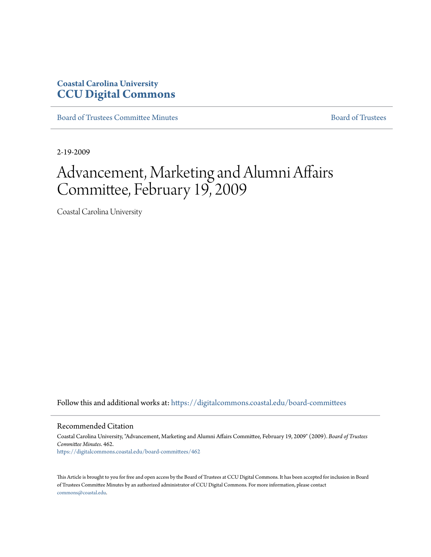## **Coastal Carolina University [CCU Digital Commons](https://digitalcommons.coastal.edu?utm_source=digitalcommons.coastal.edu%2Fboard-committees%2F462&utm_medium=PDF&utm_campaign=PDFCoverPages)**

[Board of Trustees Committee Minutes](https://digitalcommons.coastal.edu/board-committees?utm_source=digitalcommons.coastal.edu%2Fboard-committees%2F462&utm_medium=PDF&utm_campaign=PDFCoverPages) **[Board of Trustees](https://digitalcommons.coastal.edu/board?utm_source=digitalcommons.coastal.edu%2Fboard-committees%2F462&utm_medium=PDF&utm_campaign=PDFCoverPages)** Board of Trustees

2-19-2009

# Advancement, Marketing and Alumni Affairs Committee, February 19, 2009

Coastal Carolina University

Follow this and additional works at: [https://digitalcommons.coastal.edu/board-committees](https://digitalcommons.coastal.edu/board-committees?utm_source=digitalcommons.coastal.edu%2Fboard-committees%2F462&utm_medium=PDF&utm_campaign=PDFCoverPages)

#### Recommended Citation

Coastal Carolina University, "Advancement, Marketing and Alumni Affairs Committee, February 19, 2009" (2009). *Board of Trustees Committee Minutes*. 462. [https://digitalcommons.coastal.edu/board-committees/462](https://digitalcommons.coastal.edu/board-committees/462?utm_source=digitalcommons.coastal.edu%2Fboard-committees%2F462&utm_medium=PDF&utm_campaign=PDFCoverPages)

This Article is brought to you for free and open access by the Board of Trustees at CCU Digital Commons. It has been accepted for inclusion in Board of Trustees Committee Minutes by an authorized administrator of CCU Digital Commons. For more information, please contact [commons@coastal.edu.](mailto:commons@coastal.edu)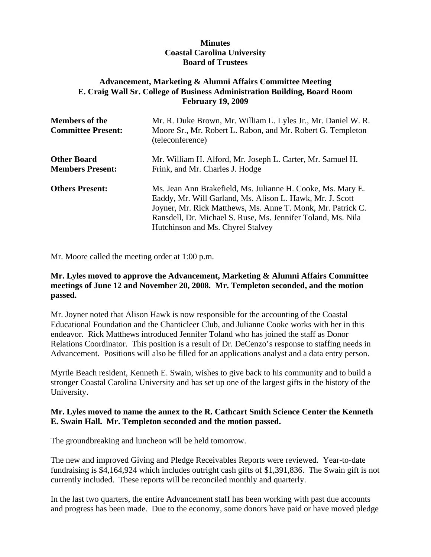### **Minutes Coastal Carolina University Board of Trustees**

#### **Advancement, Marketing & Alumni Affairs Committee Meeting E. Craig Wall Sr. College of Business Administration Building, Board Room February 19, 2009**

| <b>Members of the</b><br><b>Committee Present:</b> | Mr. R. Duke Brown, Mr. William L. Lyles Jr., Mr. Daniel W. R.<br>Moore Sr., Mr. Robert L. Rabon, and Mr. Robert G. Templeton<br>(teleconference) |
|----------------------------------------------------|--------------------------------------------------------------------------------------------------------------------------------------------------|
| <b>Other Board</b><br><b>Members Present:</b>      | Mr. William H. Alford, Mr. Joseph L. Carter, Mr. Samuel H.<br>Frink, and Mr. Charles J. Hodge                                                    |
| <b>Others Present:</b>                             | Ms. Jean Ann Brakefield, Ms. Julianne H. Cooke, Ms. Mary E.                                                                                      |
|                                                    | Eaddy, Mr. Will Garland, Ms. Alison L. Hawk, Mr. J. Scott                                                                                        |
|                                                    | Joyner, Mr. Rick Matthews, Ms. Anne T. Monk, Mr. Patrick C.<br>Ransdell, Dr. Michael S. Ruse, Ms. Jennifer Toland, Ms. Nila                      |
|                                                    | Hutchinson and Ms. Chyrel Stalvey                                                                                                                |

Mr. Moore called the meeting order at 1:00 p.m.

#### **Mr. Lyles moved to approve the Advancement, Marketing & Alumni Affairs Committee meetings of June 12 and November 20, 2008. Mr. Templeton seconded, and the motion passed.**

Mr. Joyner noted that Alison Hawk is now responsible for the accounting of the Coastal Educational Foundation and the Chanticleer Club, and Julianne Cooke works with her in this endeavor. Rick Matthews introduced Jennifer Toland who has joined the staff as Donor Relations Coordinator. This position is a result of Dr. DeCenzo's response to staffing needs in Advancement. Positions will also be filled for an applications analyst and a data entry person.

Myrtle Beach resident, Kenneth E. Swain, wishes to give back to his community and to build a stronger Coastal Carolina University and has set up one of the largest gifts in the history of the University.

### **Mr. Lyles moved to name the annex to the R. Cathcart Smith Science Center the Kenneth E. Swain Hall. Mr. Templeton seconded and the motion passed.**

The groundbreaking and luncheon will be held tomorrow.

The new and improved Giving and Pledge Receivables Reports were reviewed. Year-to-date fundraising is \$4,164,924 which includes outright cash gifts of \$1,391,836. The Swain gift is not currently included. These reports will be reconciled monthly and quarterly.

In the last two quarters, the entire Advancement staff has been working with past due accounts and progress has been made. Due to the economy, some donors have paid or have moved pledge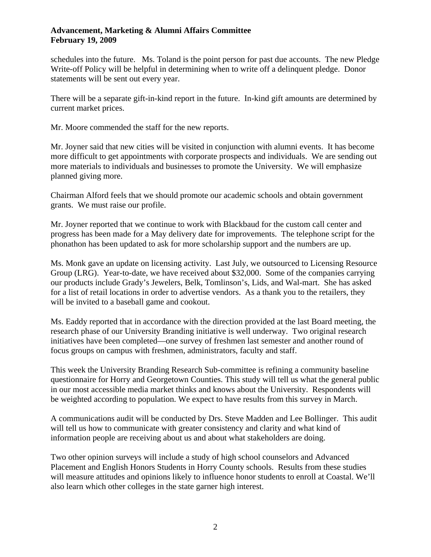#### **Advancement, Marketing & Alumni Affairs Committee February 19, 2009**

schedules into the future. Ms. Toland is the point person for past due accounts. The new Pledge Write-off Policy will be helpful in determining when to write off a delinquent pledge. Donor statements will be sent out every year.

There will be a separate gift-in-kind report in the future. In-kind gift amounts are determined by current market prices.

Mr. Moore commended the staff for the new reports.

Mr. Joyner said that new cities will be visited in conjunction with alumni events. It has become more difficult to get appointments with corporate prospects and individuals. We are sending out more materials to individuals and businesses to promote the University. We will emphasize planned giving more.

Chairman Alford feels that we should promote our academic schools and obtain government grants. We must raise our profile.

Mr. Joyner reported that we continue to work with Blackbaud for the custom call center and progress has been made for a May delivery date for improvements. The telephone script for the phonathon has been updated to ask for more scholarship support and the numbers are up.

Ms. Monk gave an update on licensing activity. Last July, we outsourced to Licensing Resource Group (LRG). Year-to-date, we have received about \$32,000. Some of the companies carrying our products include Grady's Jewelers, Belk, Tomlinson's, Lids, and Wal-mart. She has asked for a list of retail locations in order to advertise vendors. As a thank you to the retailers, they will be invited to a baseball game and cookout.

Ms. Eaddy reported that in accordance with the direction provided at the last Board meeting, the research phase of our University Branding initiative is well underway. Two original research initiatives have been completed—one survey of freshmen last semester and another round of focus groups on campus with freshmen, administrators, faculty and staff.

This week the University Branding Research Sub-committee is refining a community baseline questionnaire for Horry and Georgetown Counties. This study will tell us what the general public in our most accessible media market thinks and knows about the University. Respondents will be weighted according to population. We expect to have results from this survey in March.

A communications audit will be conducted by Drs. Steve Madden and Lee Bollinger. This audit will tell us how to communicate with greater consistency and clarity and what kind of information people are receiving about us and about what stakeholders are doing.

Two other opinion surveys will include a study of high school counselors and Advanced Placement and English Honors Students in Horry County schools. Results from these studies will measure attitudes and opinions likely to influence honor students to enroll at Coastal. We'll also learn which other colleges in the state garner high interest.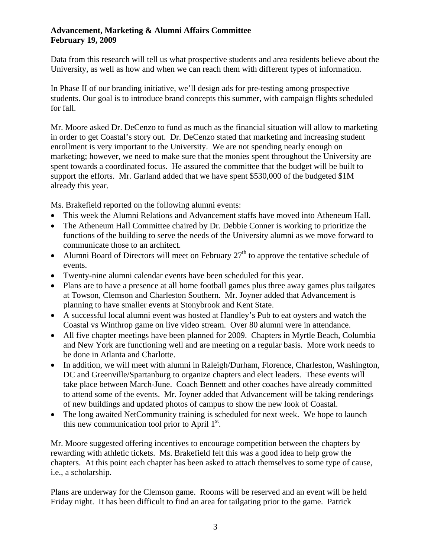### **Advancement, Marketing & Alumni Affairs Committee February 19, 2009**

Data from this research will tell us what prospective students and area residents believe about the University, as well as how and when we can reach them with different types of information.

In Phase II of our branding initiative, we'll design ads for pre-testing among prospective students. Our goal is to introduce brand concepts this summer, with campaign flights scheduled for fall.

Mr. Moore asked Dr. DeCenzo to fund as much as the financial situation will allow to marketing in order to get Coastal's story out. Dr. DeCenzo stated that marketing and increasing student enrollment is very important to the University. We are not spending nearly enough on marketing; however, we need to make sure that the monies spent throughout the University are spent towards a coordinated focus. He assured the committee that the budget will be built to support the efforts. Mr. Garland added that we have spent \$530,000 of the budgeted \$1M already this year.

Ms. Brakefield reported on the following alumni events:

- This week the Alumni Relations and Advancement staffs have moved into Atheneum Hall.
- The Atheneum Hall Committee chaired by Dr. Debbie Conner is working to prioritize the functions of the building to serve the needs of the University alumni as we move forward to communicate those to an architect.
- Alumni Board of Directors will meet on February  $27<sup>th</sup>$  to approve the tentative schedule of events.
- Twenty-nine alumni calendar events have been scheduled for this year.
- Plans are to have a presence at all home football games plus three away games plus tailgates at Towson, Clemson and Charleston Southern. Mr. Joyner added that Advancement is planning to have smaller events at Stonybrook and Kent State.
- A successful local alumni event was hosted at Handley's Pub to eat oysters and watch the Coastal vs Winthrop game on live video stream. Over 80 alumni were in attendance.
- All five chapter meetings have been planned for 2009. Chapters in Myrtle Beach, Columbia and New York are functioning well and are meeting on a regular basis. More work needs to be done in Atlanta and Charlotte.
- In addition, we will meet with alumni in Raleigh/Durham, Florence, Charleston, Washington, DC and Greenville/Spartanburg to organize chapters and elect leaders. These events will take place between March-June. Coach Bennett and other coaches have already committed to attend some of the events. Mr. Joyner added that Advancement will be taking renderings of new buildings and updated photos of campus to show the new look of Coastal.
- The long awaited NetCommunity training is scheduled for next week. We hope to launch this new communication tool prior to April  $1<sup>st</sup>$ .

Mr. Moore suggested offering incentives to encourage competition between the chapters by rewarding with athletic tickets. Ms. Brakefield felt this was a good idea to help grow the chapters. At this point each chapter has been asked to attach themselves to some type of cause, i.e., a scholarship.

Plans are underway for the Clemson game. Rooms will be reserved and an event will be held Friday night. It has been difficult to find an area for tailgating prior to the game. Patrick